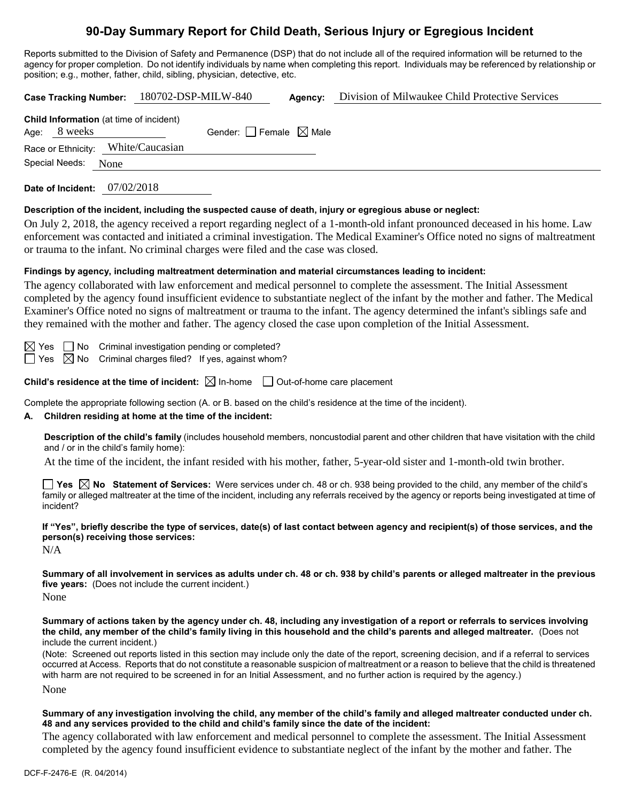# **90-Day Summary Report for Child Death, Serious Injury or Egregious Incident**

Reports submitted to the Division of Safety and Permanence (DSP) that do not include all of the required information will be returned to the agency for proper completion. Do not identify individuals by name when completing this report. Individuals may be referenced by relationship or position; e.g., mother, father, child, sibling, physician, detective, etc.

| Division of Milwaukee Child Protective Services<br>180702-DSP-MILW-840<br><b>Case Tracking Number:</b><br>Agency:                                                                                                                                                                                                                                                                                                                                                                                                                                                                                                         |  |  |  |  |
|---------------------------------------------------------------------------------------------------------------------------------------------------------------------------------------------------------------------------------------------------------------------------------------------------------------------------------------------------------------------------------------------------------------------------------------------------------------------------------------------------------------------------------------------------------------------------------------------------------------------------|--|--|--|--|
| Child Information (at time of incident)<br>Age: 8 weeks<br>Gender: $\Box$ Female $\boxtimes$ Male<br>White/Caucasian<br>Race or Ethnicity:                                                                                                                                                                                                                                                                                                                                                                                                                                                                                |  |  |  |  |
| Special Needs: None                                                                                                                                                                                                                                                                                                                                                                                                                                                                                                                                                                                                       |  |  |  |  |
| Date of Incident: 07/02/2018                                                                                                                                                                                                                                                                                                                                                                                                                                                                                                                                                                                              |  |  |  |  |
| Description of the incident, including the suspected cause of death, injury or egregious abuse or neglect:<br>On July 2, 2018, the agency received a report regarding neglect of a 1-month-old infant pronounced deceased in his home. Law<br>enforcement was contacted and initiated a criminal investigation. The Medical Examiner's Office noted no signs of maltreatment<br>or trauma to the infant. No criminal charges were filed and the case was closed.                                                                                                                                                          |  |  |  |  |
| Findings by agency, including maltreatment determination and material circumstances leading to incident:<br>The agency collaborated with law enforcement and medical personnel to complete the assessment. The Initial Assessment<br>completed by the agency found insufficient evidence to substantiate neglect of the infant by the mother and father. The Medical<br>Examiner's Office noted no signs of maltreatment or trauma to the infant. The agency determined the infant's siblings safe and<br>they remained with the mother and father. The agency closed the case upon completion of the Initial Assessment. |  |  |  |  |
| Criminal investigation pending or completed?<br>$\boxtimes$ Yes $\Box$ No<br>$\boxtimes$ No<br>Criminal charges filed? If yes, against whom?<br>l Yes                                                                                                                                                                                                                                                                                                                                                                                                                                                                     |  |  |  |  |
| Child's residence at the time of incident: $\boxtimes$ In-home $\Box$ Out-of-home care placement                                                                                                                                                                                                                                                                                                                                                                                                                                                                                                                          |  |  |  |  |
| Complete the appropriate following section (A. or B. based on the child's residence at the time of the incident).<br>Children residing at home at the time of the incident:<br>А.                                                                                                                                                                                                                                                                                                                                                                                                                                         |  |  |  |  |
| Description of the child's family (includes household members, noncustodial parent and other children that have visitation with the child<br>and / or in the child's family home):                                                                                                                                                                                                                                                                                                                                                                                                                                        |  |  |  |  |
| At the time of the incident, the infant resided with his mother, father, 5-year-old sister and 1-month-old twin brother.                                                                                                                                                                                                                                                                                                                                                                                                                                                                                                  |  |  |  |  |
| <b>T</b> Yes $\boxtimes$ No Statement of Services: Were services under ch. 48 or ch. 938 being provided to the child, any member of the child's<br>family or alleged maltreater at the time of the incident, including any referrals received by the agency or reports being investigated at time of<br>incident?                                                                                                                                                                                                                                                                                                         |  |  |  |  |
| If "Yes", briefly describe the type of services, date(s) of last contact between agency and recipient(s) of those services, and the<br>person(s) receiving those services:<br>N/A                                                                                                                                                                                                                                                                                                                                                                                                                                         |  |  |  |  |
| Summary of all involvement in services as adults under ch. 48 or ch. 938 by child's parents or alleged maltreater in the previous<br>five years: (Does not include the current incident.)<br>None                                                                                                                                                                                                                                                                                                                                                                                                                         |  |  |  |  |
| Summary of actions taken by the agency under ch. 48, including any investigation of a report or referrals to services involving<br>the child, any member of the child's family living in this household and the child's parents and alleged maltreater. (Does not<br>include the current incident.)                                                                                                                                                                                                                                                                                                                       |  |  |  |  |
| (Note: Screened out reports listed in this section may include only the date of the report, screening decision, and if a referral to services<br>occurred at Access. Reports that do not constitute a reasonable suspicion of maltreatment or a reason to believe that the child is threatened<br>with harm are not required to be screened in for an Initial Assessment, and no further action is required by the agency.)                                                                                                                                                                                               |  |  |  |  |
| None                                                                                                                                                                                                                                                                                                                                                                                                                                                                                                                                                                                                                      |  |  |  |  |

## **Summary of any investigation involving the child, any member of the child's family and alleged maltreater conducted under ch. 48 and any services provided to the child and child's family since the date of the incident:**

The agency collaborated with law enforcement and medical personnel to complete the assessment. The Initial Assessment completed by the agency found insufficient evidence to substantiate neglect of the infant by the mother and father. The